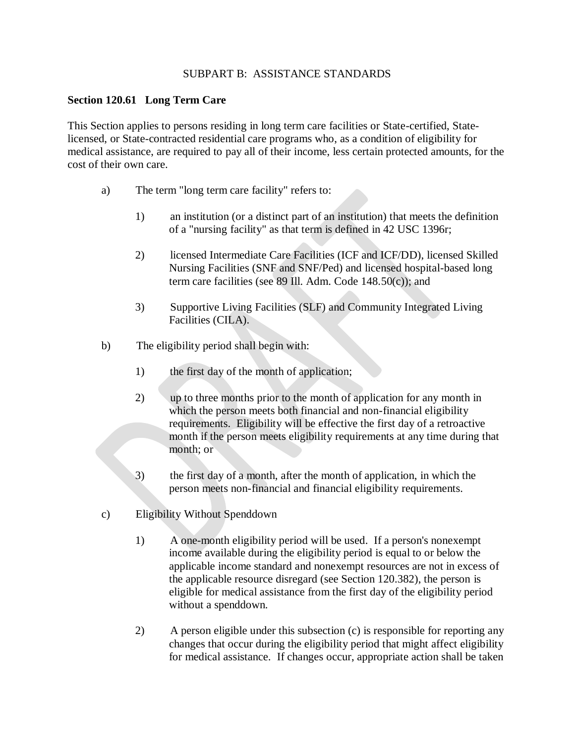## SUBPART B: ASSISTANCE STANDARDS

## **Section 120.61 Long Term Care**

This Section applies to persons residing in long term care facilities or State-certified, Statelicensed, or State-contracted residential care programs who, as a condition of eligibility for medical assistance, are required to pay all of their income, less certain protected amounts, for the cost of their own care.

- a) The term "long term care facility" refers to:
	- 1) an institution (or a distinct part of an institution) that meets the definition of a "nursing facility" as that term is defined in 42 USC 1396r;
	- 2) licensed Intermediate Care Facilities (ICF and ICF/DD), licensed Skilled Nursing Facilities (SNF and SNF/Ped) and licensed hospital-based long term care facilities (see 89 Ill. Adm. Code 148.50(c)); and
	- 3) Supportive Living Facilities (SLF) and Community Integrated Living Facilities (CILA).
- b) The eligibility period shall begin with:
	- 1) the first day of the month of application;
	- 2) up to three months prior to the month of application for any month in which the person meets both financial and non-financial eligibility requirements. Eligibility will be effective the first day of a retroactive month if the person meets eligibility requirements at any time during that month; or
	- 3) the first day of a month, after the month of application, in which the person meets non-financial and financial eligibility requirements.
- c) Eligibility Without Spenddown
	- 1) A one-month eligibility period will be used. If a person's nonexempt income available during the eligibility period is equal to or below the applicable income standard and nonexempt resources are not in excess of the applicable resource disregard (see Section 120.382), the person is eligible for medical assistance from the first day of the eligibility period without a spenddown.
	- 2) A person eligible under this subsection (c) is responsible for reporting any changes that occur during the eligibility period that might affect eligibility for medical assistance. If changes occur, appropriate action shall be taken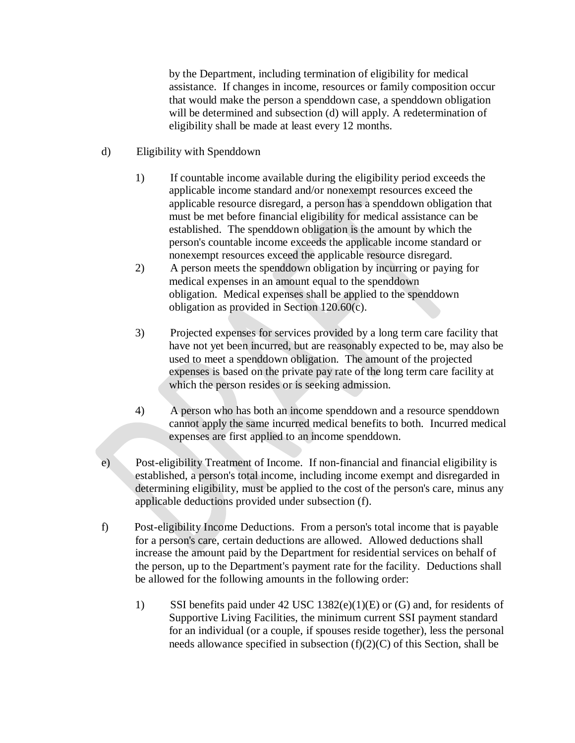by the Department, including termination of eligibility for medical assistance. If changes in income, resources or family composition occur that would make the person a spenddown case, a spenddown obligation will be determined and subsection (d) will apply. A redetermination of eligibility shall be made at least every 12 months.

- d) Eligibility with Spenddown
	- 1) If countable income available during the eligibility period exceeds the applicable income standard and/or nonexempt resources exceed the applicable resource disregard, a person has a spenddown obligation that must be met before financial eligibility for medical assistance can be established. The spenddown obligation is the amount by which the person's countable income exceeds the applicable income standard or nonexempt resources exceed the applicable resource disregard.
	- 2) A person meets the spenddown obligation by incurring or paying for medical expenses in an amount equal to the spenddown obligation. Medical expenses shall be applied to the spenddown obligation as provided in Section 120.60(c).
	- 3) Projected expenses for services provided by a long term care facility that have not yet been incurred, but are reasonably expected to be, may also be used to meet a spenddown obligation. The amount of the projected expenses is based on the private pay rate of the long term care facility at which the person resides or is seeking admission.
	- 4) A person who has both an income spenddown and a resource spenddown cannot apply the same incurred medical benefits to both. Incurred medical expenses are first applied to an income spenddown.
- e) Post-eligibility Treatment of Income. If non-financial and financial eligibility is established, a person's total income, including income exempt and disregarded in determining eligibility, must be applied to the cost of the person's care, minus any applicable deductions provided under subsection (f).
- f) Post-eligibility Income Deductions. From a person's total income that is payable for a person's care, certain deductions are allowed. Allowed deductions shall increase the amount paid by the Department for residential services on behalf of the person, up to the Department's payment rate for the facility. Deductions shall be allowed for the following amounts in the following order:
	- 1) SSI benefits paid under 42 USC 1382(e)(1)(E) or (G) and, for residents of Supportive Living Facilities, the minimum current SSI payment standard for an individual (or a couple, if spouses reside together), less the personal needs allowance specified in subsection  $(f)(2)(C)$  of this Section, shall be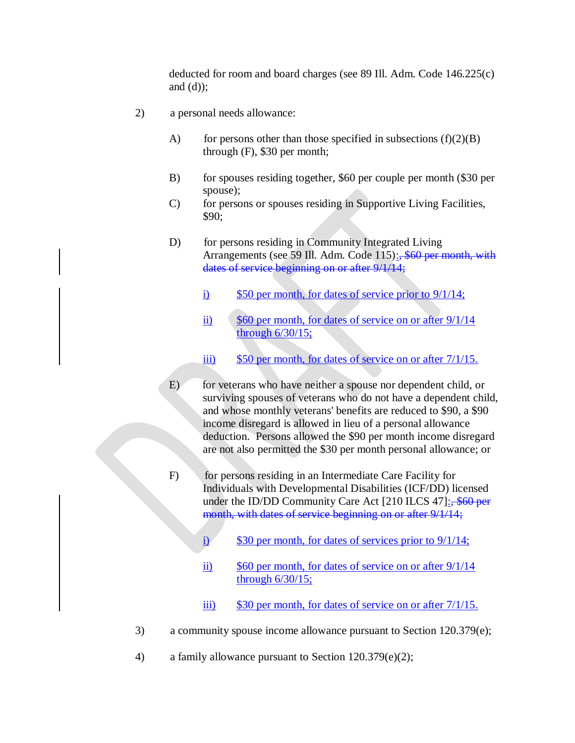deducted for room and board charges (see 89 Ill. Adm. Code 146.225(c) and  $(d)$ ;

- 2) a personal needs allowance:
	- A) for persons other than those specified in subsections  $(f)(2)(B)$ through (F), \$30 per month;
	- B) for spouses residing together, \$60 per couple per month (\$30 per spouse);
	- C) for persons or spouses residing in Supportive Living Facilities, \$90;
	- D) for persons residing in Community Integrated Living Arrangements (see 59 Ill. Adm. Code 115): \$60 per month, with dates of service beginning on or after 9/1/14;
		- i) \$50 per month, for dates of service prior to 9/1/14;
		- ii) \$60 per month, for dates of service on or after 9/1/14 through 6/30/15;
		- iii) \$50 per month, for dates of service on or after  $7/1/15$ .
	- E) for veterans who have neither a spouse nor dependent child, or surviving spouses of veterans who do not have a dependent child, and whose monthly veterans' benefits are reduced to \$90, a \$90 income disregard is allowed in lieu of a personal allowance deduction. Persons allowed the \$90 per month income disregard are not also permitted the \$30 per month personal allowance; or
	- F) for persons residing in an Intermediate Care Facility for Individuals with Developmental Disabilities (ICF/DD) licensed under the ID/DD Community Care Act [210 ILCS 47]: \$60 per month, with dates of service beginning on or after  $9/1/14$ ;
		- i) \$30 per month, for dates of services prior to  $9/1/14$ ;
		- ii) \$60 per month, for dates of service on or after 9/1/14 through 6/30/15;
		- $\frac{1}{11}$  \$30 per month, for dates of service on or after  $7/1/15$ .
- 3) a community spouse income allowance pursuant to Section 120.379(e);
- 4) a family allowance pursuant to Section 120.379(e)(2);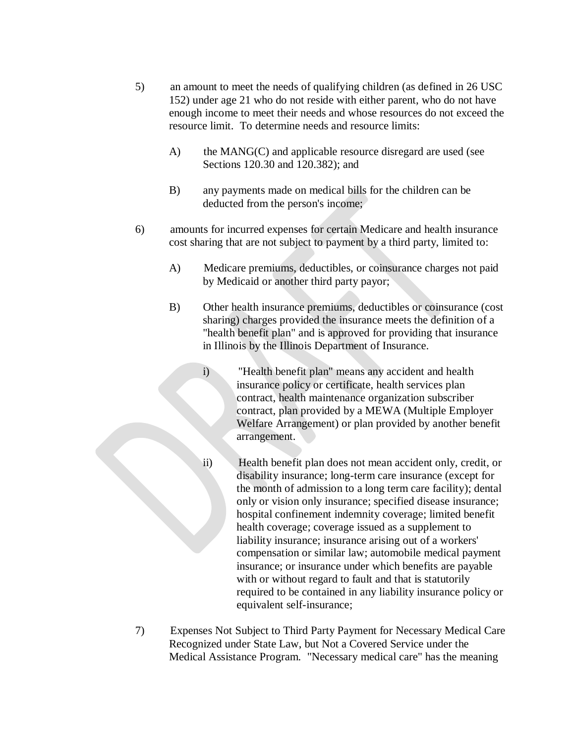- 5) an amount to meet the needs of qualifying children (as defined in 26 USC 152) under age 21 who do not reside with either parent, who do not have enough income to meet their needs and whose resources do not exceed the resource limit. To determine needs and resource limits:
	- A) the MANG(C) and applicable resource disregard are used (see Sections 120.30 and 120.382); and
	- B) any payments made on medical bills for the children can be deducted from the person's income;
- 6) amounts for incurred expenses for certain Medicare and health insurance cost sharing that are not subject to payment by a third party, limited to:
	- A) Medicare premiums, deductibles, or coinsurance charges not paid by Medicaid or another third party payor;
	- B) Other health insurance premiums, deductibles or coinsurance (cost sharing) charges provided the insurance meets the definition of a "health benefit plan" and is approved for providing that insurance in Illinois by the Illinois Department of Insurance.
		- i) "Health benefit plan" means any accident and health insurance policy or certificate, health services plan contract, health maintenance organization subscriber contract, plan provided by a MEWA (Multiple Employer Welfare Arrangement) or plan provided by another benefit arrangement.
		- ii) Health benefit plan does not mean accident only, credit, or disability insurance; long-term care insurance (except for the month of admission to a long term care facility); dental only or vision only insurance; specified disease insurance; hospital confinement indemnity coverage; limited benefit health coverage; coverage issued as a supplement to liability insurance; insurance arising out of a workers' compensation or similar law; automobile medical payment insurance; or insurance under which benefits are payable with or without regard to fault and that is statutorily required to be contained in any liability insurance policy or equivalent self-insurance;
- 7) Expenses Not Subject to Third Party Payment for Necessary Medical Care Recognized under State Law, but Not a Covered Service under the Medical Assistance Program. "Necessary medical care" has the meaning